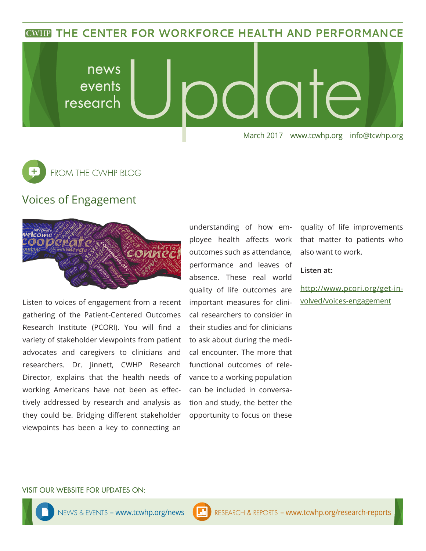**CWHP THE CENTER FOR WORKFORCE HEALTH AND PERFORMANCE** 

news ate events research March 2017 www.tcwhp.org info@tcwhp.org



## Voices of Engagement



Listen to voices of engagement from a recent gathering of the Patient-Centered Outcomes Research Institute (PCORI). You will find a variety of stakeholder viewpoints from patient advocates and caregivers to clinicians and researchers. Dr. Jinnett, CWHP Research Director, explains that the health needs of working Americans have not been as effectively addressed by research and analysis as they could be. Bridging different stakeholder viewpoints has been a key to connecting an understanding of how employee health affects work outcomes such as attendance, performance and leaves of absence. These real world quality of life outcomes are important measures for clinical researchers to consider in their studies and for clinicians to ask about during the medical encounter. The more that functional outcomes of relevance to a working population can be included in conversation and study, the better the opportunity to focus on these

quality of life improvements that matter to patients who also want to work.

#### **Listen at:**

http://www.pcori.org/get-involved/voices-engagement

#### VISIT OUR WEBSITE FOR UPDATES ON: